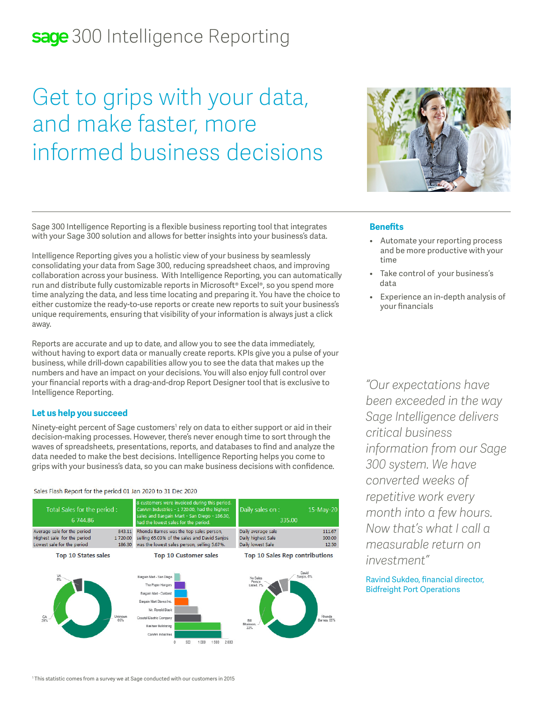# sage 300 Intelligence Reporting

# Get to grips with your data, and make faster, more informed business decisions



Sage 300 Intelligence Reporting is a flexible business reporting tool that integrates with your Sage 300 solution and allows for better insights into your business's data.

Intelligence Reporting gives you a holistic view of your business by seamlessly consolidating your data from Sage 300, reducing spreadsheet chaos, and improving collaboration across your business. With Intelligence Reporting, you can automatically run and distribute fully customizable reports in Microsoft® Excel®, so you spend more time analyzing the data, and less time locating and preparing it. You have the choice to either customize the ready-to-use reports or create new reports to suit your business's unique requirements, ensuring that visibility of your information is always just a click away.

Reports are accurate and up to date, and allow you to see the data immediately, without having to export data or manually create reports. KPIs give you a pulse of your business, while drill-down capabilities allow you to see the data that makes up the numbers and have an impact on your decisions. You will also enjoy full control over your financial reports with a drag-and-drop Report Designer tool that is exclusive to Intelligence Reporting.

# **Let us help you succeed**

Ninety-eight percent of Sage customers<sup>1</sup> rely on data to either support or aid in their decision-making processes. However, there's never enough time to sort through the waves of spreadsheets, presentations, reports, and databases to find and analyze the data needed to make the best decisions. Intelligence Reporting helps you come to grips with your business's data, so you can make business decisions with confidence.

#### Sales Flash Report for the period 01 Jan 2020 to 31 Dec 2020



# **Benefits**

- Automate your reporting process and be more productive with your time
- Take control of your business's data
- Experience an in-depth analysis of your financials

*"Our expectations have been exceeded in the way Sage Intelligence delivers critical business information from our Sage 300 system. We have converted weeks of repetitive work every month into a few hours. Now that's what I call a measurable return on investment"* 

# Ravind Sukdeo, financial director, Bidfreight Port Operations